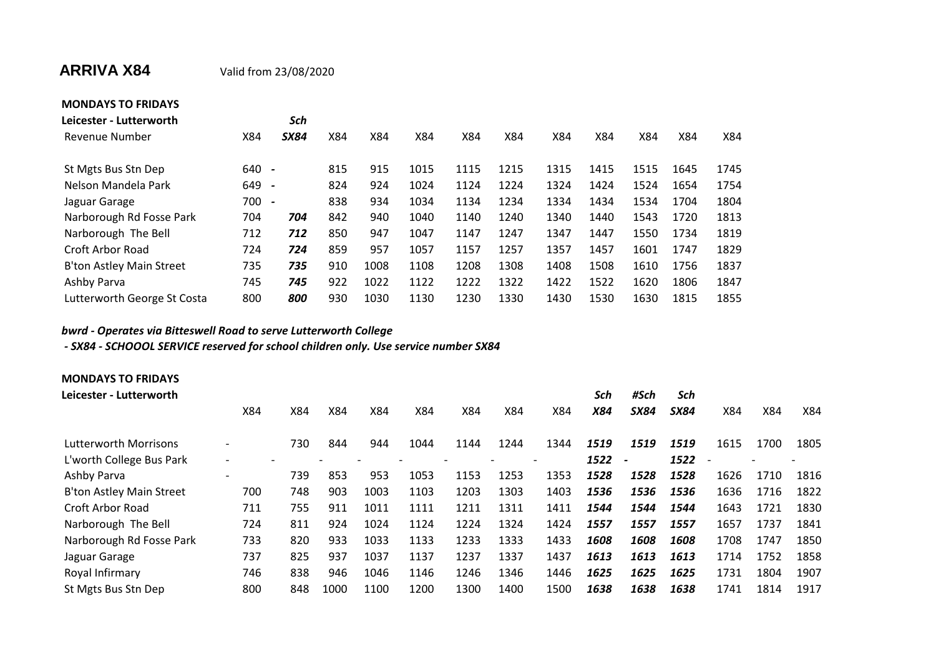## **ARRIVA X84** Valid from 23/08/2020

| <b>MONDAYS TO FRIDAYS</b>   |     |                          |     |      |      |      |      |      |      |      |      |      |
|-----------------------------|-----|--------------------------|-----|------|------|------|------|------|------|------|------|------|
| Leicester - Lutterworth     |     | Sch                      |     |      |      |      |      |      |      |      |      |      |
| <b>Revenue Number</b>       | X84 | <b>SX84</b>              | X84 | X84  | X84  | X84  | X84  | X84  | X84  | X84  | X84  | X84  |
| St Mgts Bus Stn Dep         | 640 | $\overline{\phantom{a}}$ | 815 | 915  | 1015 | 1115 | 1215 | 1315 | 1415 | 1515 | 1645 | 1745 |
| Nelson Mandela Park         | 649 | $\overline{\phantom{a}}$ | 824 | 924  | 1024 | 1124 | 1224 | 1324 | 1424 | 1524 | 1654 | 1754 |
| Jaguar Garage               | 700 | $\overline{\phantom{a}}$ | 838 | 934  | 1034 | 1134 | 1234 | 1334 | 1434 | 1534 | 1704 | 1804 |
| Narborough Rd Fosse Park    | 704 | 704                      | 842 | 940  | 1040 | 1140 | 1240 | 1340 | 1440 | 1543 | 1720 | 1813 |
| Narborough The Bell         | 712 | 712                      | 850 | 947  | 1047 | 1147 | 1247 | 1347 | 1447 | 1550 | 1734 | 1819 |
| Croft Arbor Road            | 724 | 724                      | 859 | 957  | 1057 | 1157 | 1257 | 1357 | 1457 | 1601 | 1747 | 1829 |
| B'ton Astley Main Street    | 735 | 735                      | 910 | 1008 | 1108 | 1208 | 1308 | 1408 | 1508 | 1610 | 1756 | 1837 |
| Ashby Parva                 | 745 | 745                      | 922 | 1022 | 1122 | 1222 | 1322 | 1422 | 1522 | 1620 | 1806 | 1847 |
| Lutterworth George St Costa | 800 | 800                      | 930 | 1030 | 1130 | 1230 | 1330 | 1430 | 1530 | 1630 | 1815 | 1855 |

## *bwrd - Operates via Bitteswell Road to serve Lutterworth College*

 *- SX84 - SCHOOOL SERVICE reserved for school children only. Use service number SX84*

| <b>MONDAYS TO FRIDAYS</b>       |                          |     |      |      |      |      |      |                          |      |             |             |                          |      |      |
|---------------------------------|--------------------------|-----|------|------|------|------|------|--------------------------|------|-------------|-------------|--------------------------|------|------|
| Leicester - Lutterworth         |                          |     |      |      |      |      |      |                          | Sch  | #Sch        | Sch         |                          |      |      |
|                                 | X84                      | X84 | X84  | X84  | X84  | X84  | X84  | X84                      | X84  | <b>SX84</b> | <b>SX84</b> | X84                      | X84  | X84  |
| <b>Lutterworth Morrisons</b>    |                          | 730 | 844  | 944  | 1044 | 1144 | 1244 | 1344                     | 1519 | 1519        | 1519        | 1615                     | 1700 | 1805 |
| L'worth College Bus Park        |                          |     |      |      |      |      |      | $\overline{\phantom{0}}$ | 1522 |             | 1522        | $\overline{\phantom{a}}$ |      |      |
| Ashby Parva                     | $\overline{\phantom{a}}$ | 739 | 853  | 953  | 1053 | 1153 | 1253 | 1353                     | 1528 | 1528        | 1528        | 1626                     | 1710 | 1816 |
| <b>B'ton Astley Main Street</b> | 700                      | 748 | 903  | 1003 | 1103 | 1203 | 1303 | 1403                     | 1536 | 1536        | 1536        | 1636                     | 1716 | 1822 |
| <b>Croft Arbor Road</b>         | 711                      | 755 | 911  | 1011 | 1111 | 1211 | 1311 | 1411                     | 1544 | 1544        | 1544        | 1643                     | 1721 | 1830 |
| Narborough The Bell             | 724                      | 811 | 924  | 1024 | 1124 | 1224 | 1324 | 1424                     | 1557 | 1557        | 1557        | 1657                     | 1737 | 1841 |
| Narborough Rd Fosse Park        | 733                      | 820 | 933  | 1033 | 1133 | 1233 | 1333 | 1433                     | 1608 | 1608        | 1608        | 1708                     | 1747 | 1850 |
| Jaguar Garage                   | 737                      | 825 | 937  | 1037 | 1137 | 1237 | 1337 | 1437                     | 1613 | 1613        | 1613        | 1714                     | 1752 | 1858 |
| Royal Infirmary                 | 746                      | 838 | 946  | 1046 | 1146 | 1246 | 1346 | 1446                     | 1625 | 1625        | 1625        | 1731                     | 1804 | 1907 |
| St Mgts Bus Stn Dep             | 800                      | 848 | 1000 | 1100 | 1200 | 1300 | 1400 | 1500                     | 1638 | 1638        | 1638        | 1741                     | 1814 | 1917 |